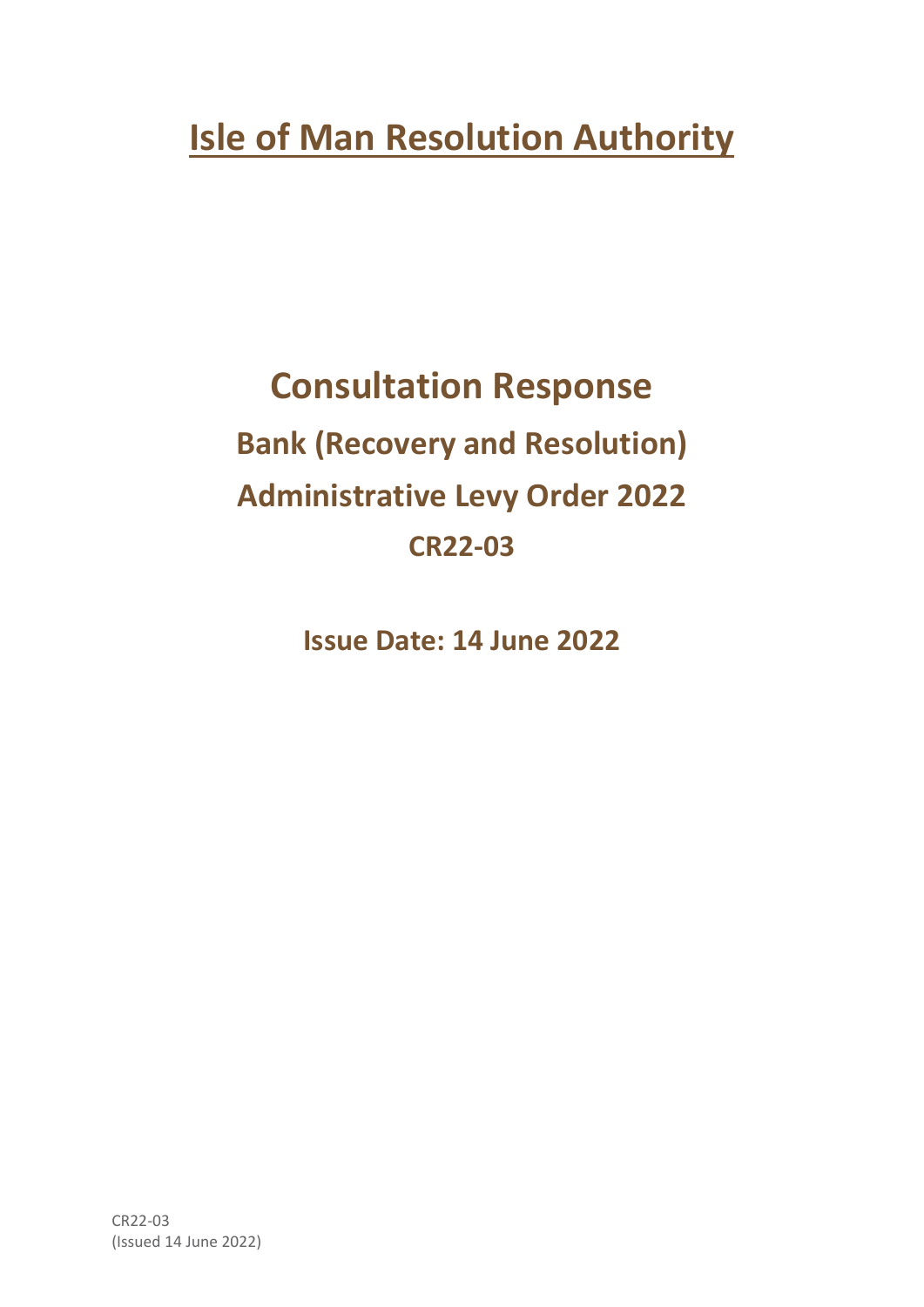# **Isle of Man Resolution Authority**

# **Consultation Response Bank (Recovery and Resolution) Administrative Levy Order 2022 CR22-03**

**Issue Date: 14 June 2022**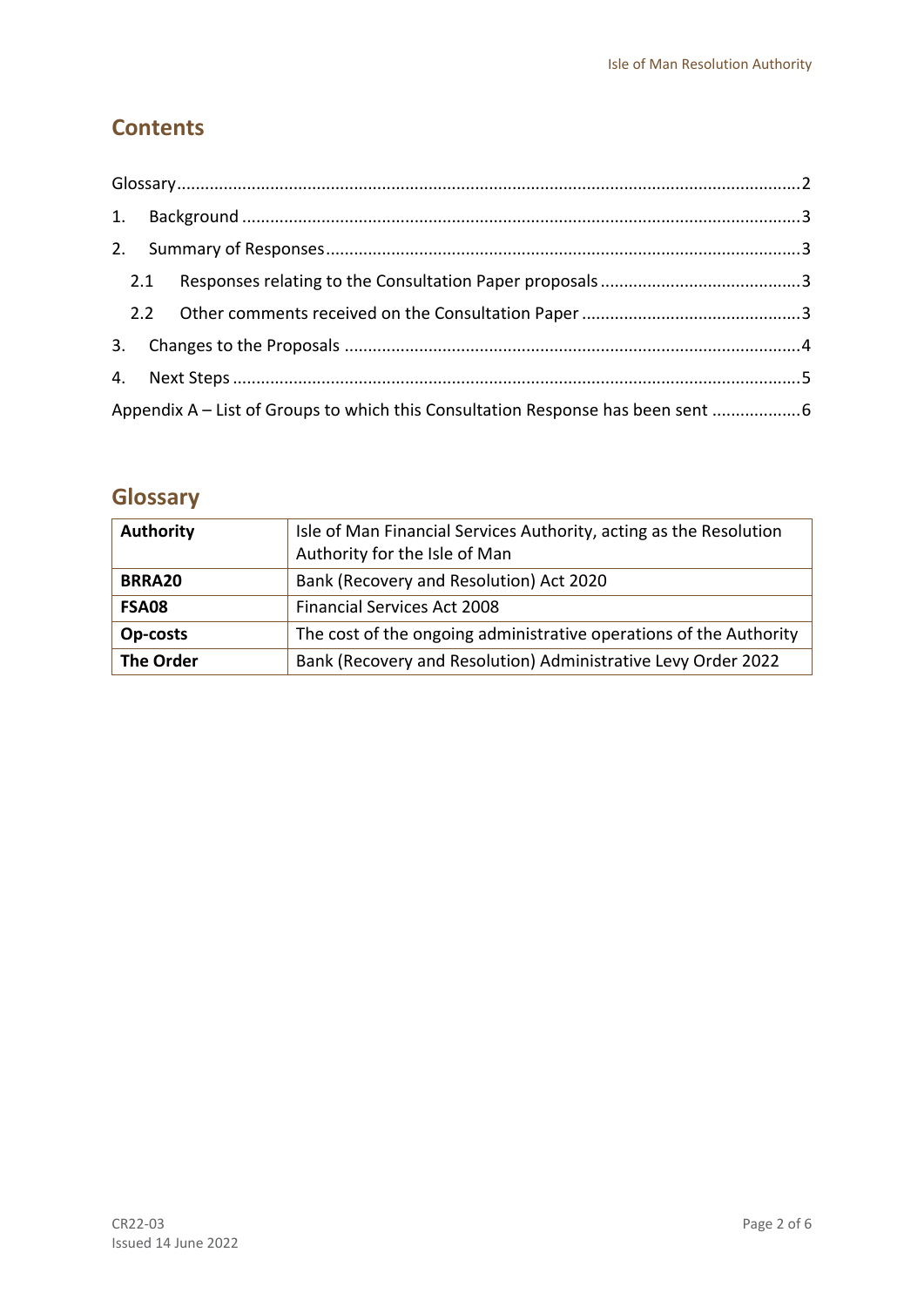## **Contents**

| 3.                                                                               |  |  |  |  |  |
|----------------------------------------------------------------------------------|--|--|--|--|--|
|                                                                                  |  |  |  |  |  |
| Appendix A - List of Groups to which this Consultation Response has been sent  6 |  |  |  |  |  |

## <span id="page-1-0"></span>**Glossary**

| <b>Authority</b> | Isle of Man Financial Services Authority, acting as the Resolution |  |
|------------------|--------------------------------------------------------------------|--|
|                  | Authority for the Isle of Man                                      |  |
| BRRA20           | Bank (Recovery and Resolution) Act 2020                            |  |
| <b>FSA08</b>     | <b>Financial Services Act 2008</b>                                 |  |
| Op-costs         | The cost of the ongoing administrative operations of the Authority |  |
| <b>The Order</b> | Bank (Recovery and Resolution) Administrative Levy Order 2022      |  |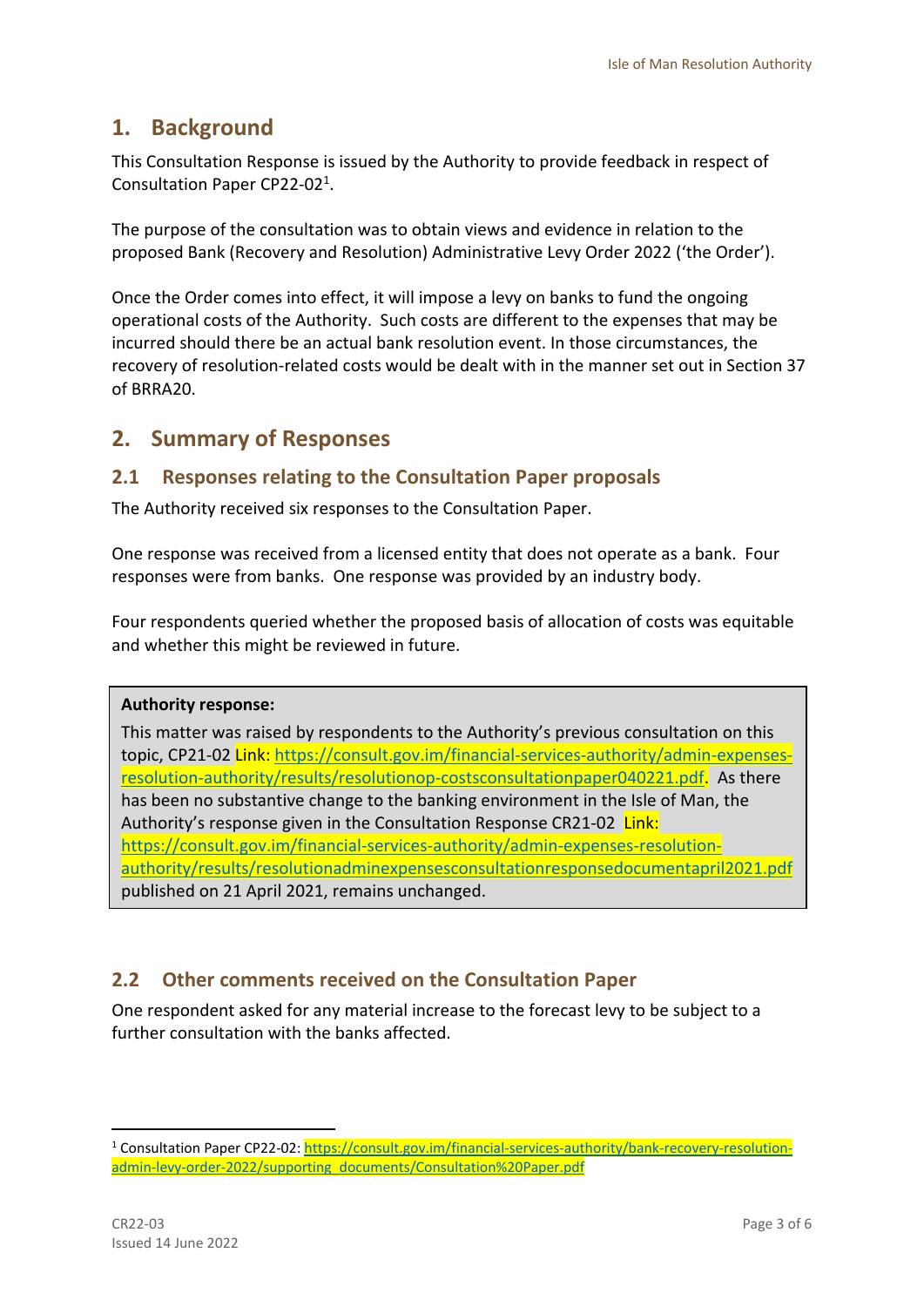## <span id="page-2-0"></span>**1. Background**

This Consultation Response is issued by the Authority to provide feedback in respect of Consultation Paper CP22-02<sup>1</sup> .

The purpose of the consultation was to obtain views and evidence in relation to the proposed Bank (Recovery and Resolution) Administrative Levy Order 2022 ('the Order').

Once the Order comes into effect, it will impose a levy on banks to fund the ongoing operational costs of the Authority. Such costs are different to the expenses that may be incurred should there be an actual bank resolution event. In those circumstances, the recovery of resolution-related costs would be dealt with in the manner set out in Section 37 of BRRA20.

## <span id="page-2-1"></span>**2. Summary of Responses**

### <span id="page-2-2"></span>**2.1 Responses relating to the Consultation Paper proposals**

The Authority received six responses to the Consultation Paper.

One response was received from a licensed entity that does not operate as a bank. Four responses were from banks. One response was provided by an industry body.

Four respondents queried whether the proposed basis of allocation of costs was equitable and whether this might be reviewed in future.

#### **Authority response:**

This matter was raised by respondents to the Authority's previous consultation on this topic, CP21-02 Link: [https://consult.gov.im/financial-services-authority/admin-expenses](https://consult.gov.im/financial-services-authority/admin-expenses-resolution-authority/results/resolutionop-costsconsultationpaper040221.pdf)[resolution-authority/results/resolutionop-costsconsultationpaper040221.pdf.](https://consult.gov.im/financial-services-authority/admin-expenses-resolution-authority/results/resolutionop-costsconsultationpaper040221.pdf) As there has been no substantive change to the banking environment in the Isle of Man, the Authority's response given in the Consultation Response CR21-02 Link: [https://consult.gov.im/financial-services-authority/admin-expenses-resolution](https://consult.gov.im/financial-services-authority/admin-expenses-resolution-authority/results/resolutionadminexpensesconsultationresponsedocumentapril2021.pdf)[authority/results/resolutionadminexpensesconsultationresponsedocumentapril2021.pdf](https://consult.gov.im/financial-services-authority/admin-expenses-resolution-authority/results/resolutionadminexpensesconsultationresponsedocumentapril2021.pdf) published on 21 April 2021, remains unchanged.

### <span id="page-2-3"></span>**2.2 Other comments received on the Consultation Paper**

One respondent asked for any material increase to the forecast levy to be subject to a further consultation with the banks affected.

-

<sup>1</sup> Consultation Paper CP22-02: [https://consult.gov.im/financial-services-authority/bank-recovery-resolution](https://consult.gov.im/financial-services-authority/bank-recovery-resolution-admin-levy-order-2022/supporting_documents/Consultation%20Paper.pdf)[admin-levy-order-2022/supporting\\_documents/Consultation%20Paper.pdf](https://consult.gov.im/financial-services-authority/bank-recovery-resolution-admin-levy-order-2022/supporting_documents/Consultation%20Paper.pdf)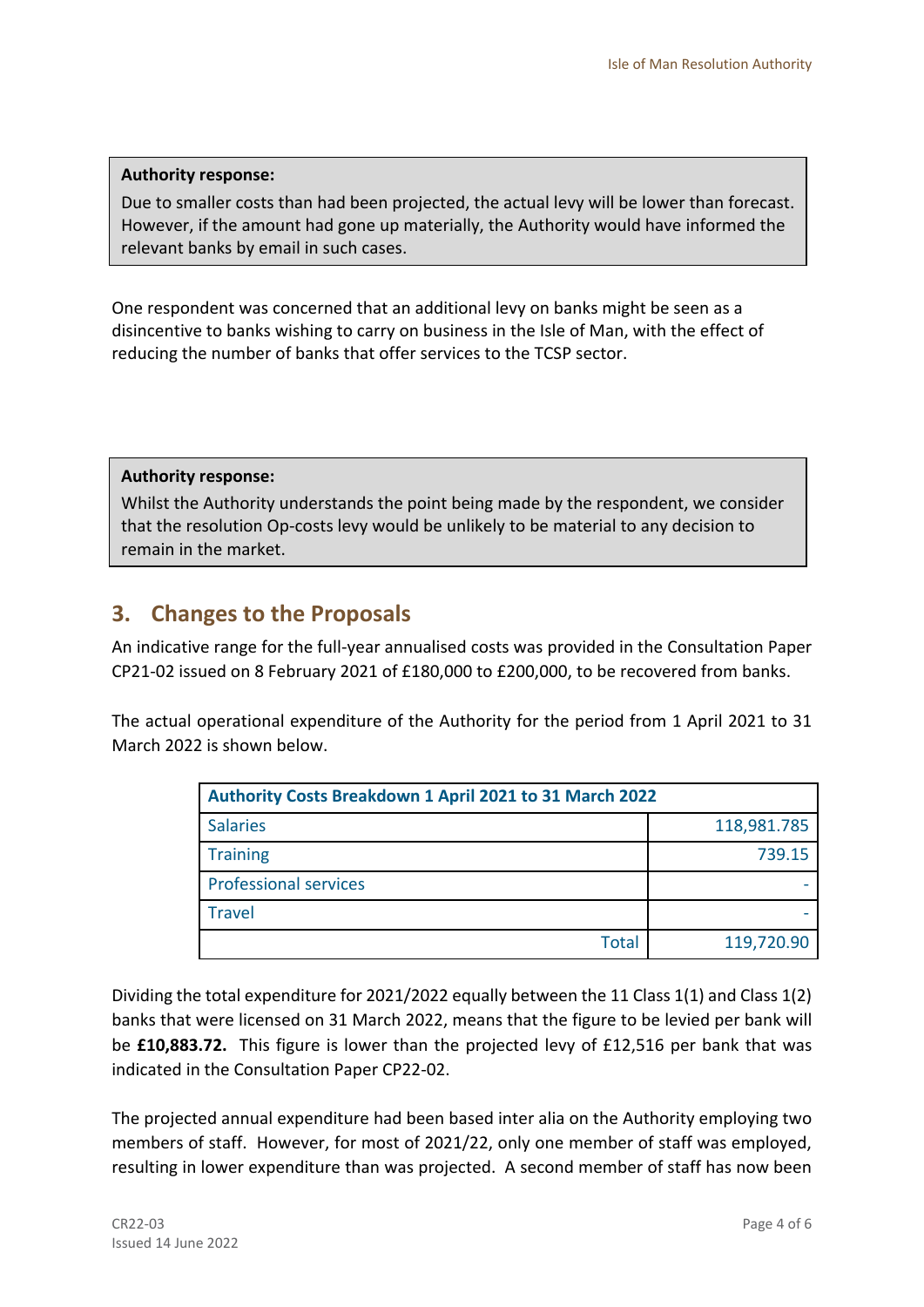#### **Authority response:**

Due to smaller costs than had been projected, the actual levy will be lower than forecast. However, if the amount had gone up materially, the Authority would have informed the relevant banks by email in such cases.

One respondent was concerned that an additional levy on banks might be seen as a disincentive to banks wishing to carry on business in the Isle of Man, with the effect of reducing the number of banks that offer services to the TCSP sector.

**Authority response:** 

Whilst the Authority understands the point being made by the respondent, we consider that the resolution Op-costs levy would be unlikely to be material to any decision to remain in the market.

## <span id="page-3-0"></span>**3. Changes to the Proposals**

An indicative range for the full-year annualised costs was provided in the Consultation Paper CP21-02 issued on 8 February 2021 of £180,000 to £200,000, to be recovered from banks.

The actual operational expenditure of the Authority for the period from 1 April 2021 to 31 March 2022 is shown below.

| Authority Costs Breakdown 1 April 2021 to 31 March 2022 |             |  |  |  |
|---------------------------------------------------------|-------------|--|--|--|
| <b>Salaries</b>                                         | 118,981.785 |  |  |  |
| <b>Training</b>                                         | 739.15      |  |  |  |
| <b>Professional services</b>                            |             |  |  |  |
| <b>Travel</b>                                           |             |  |  |  |
| <b>Total</b>                                            | 119,720.90  |  |  |  |

Dividing the total expenditure for 2021/2022 equally between the 11 Class 1(1) and Class 1(2) banks that were licensed on 31 March 2022, means that the figure to be levied per bank will be **£10,883.72.** This figure is lower than the projected levy of £12,516 per bank that was indicated in the Consultation Paper CP22-02.

The projected annual expenditure had been based inter alia on the Authority employing two members of staff. However, for most of 2021/22, only one member of staff was employed, resulting in lower expenditure than was projected. A second member of staff has now been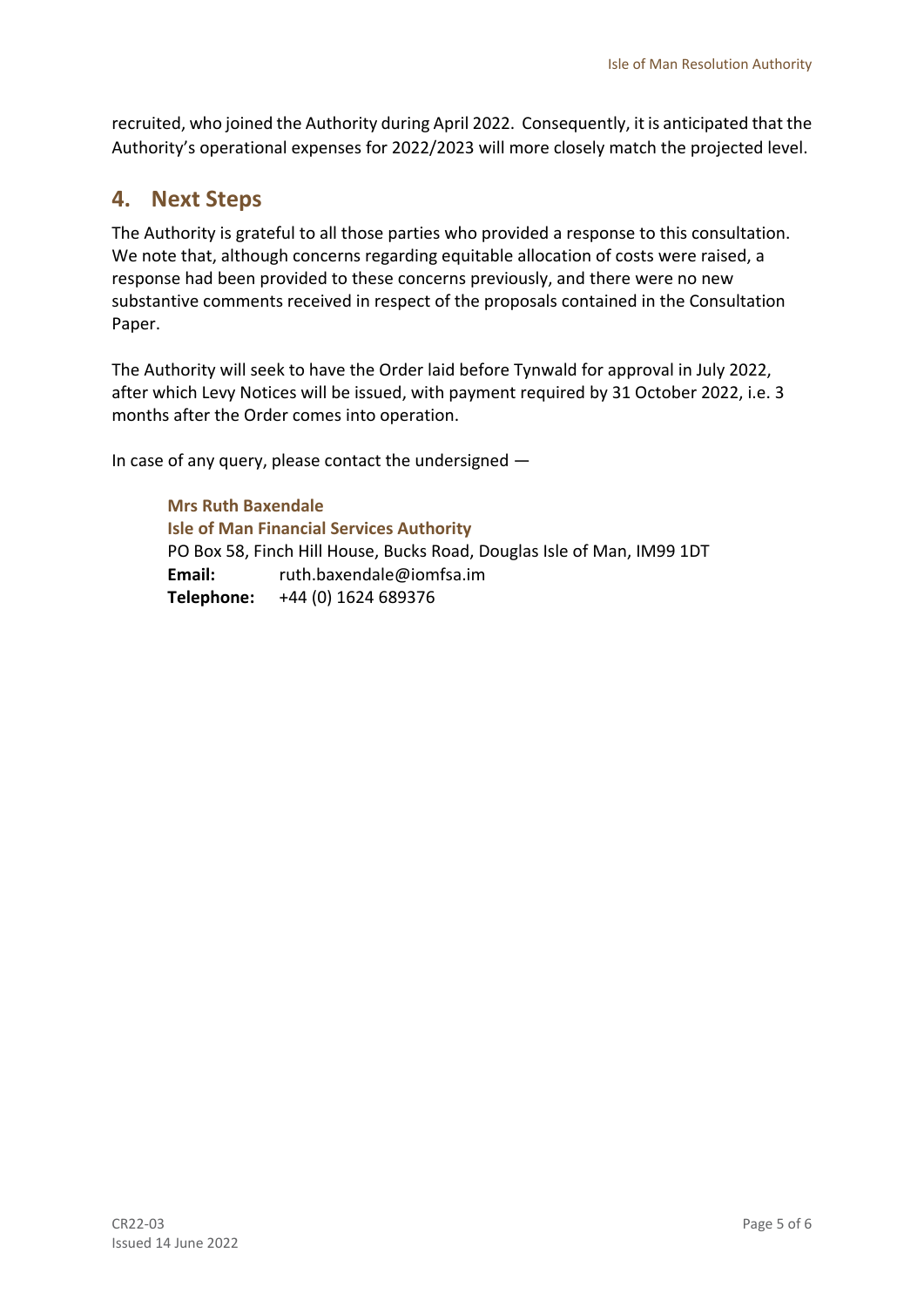recruited, who joined the Authority during April 2022. Consequently, it is anticipated that the Authority's operational expenses for 2022/2023 will more closely match the projected level.

## <span id="page-4-0"></span>**4. Next Steps**

The Authority is grateful to all those parties who provided a response to this consultation. We note that, although concerns regarding equitable allocation of costs were raised, a response had been provided to these concerns previously, and there were no new substantive comments received in respect of the proposals contained in the Consultation Paper.

The Authority will seek to have the Order laid before Tynwald for approval in July 2022, after which Levy Notices will be issued, with payment required by 31 October 2022, i.e. 3 months after the Order comes into operation.

In case of any query, please contact the undersigned —

**Mrs Ruth Baxendale Isle of Man Financial Services Authority** PO Box 58, Finch Hill House, Bucks Road, Douglas Isle of Man, IM99 1DT **Email:** ruth.baxendale@iomfsa.im **Telephone:** +44 (0) 1624 689376